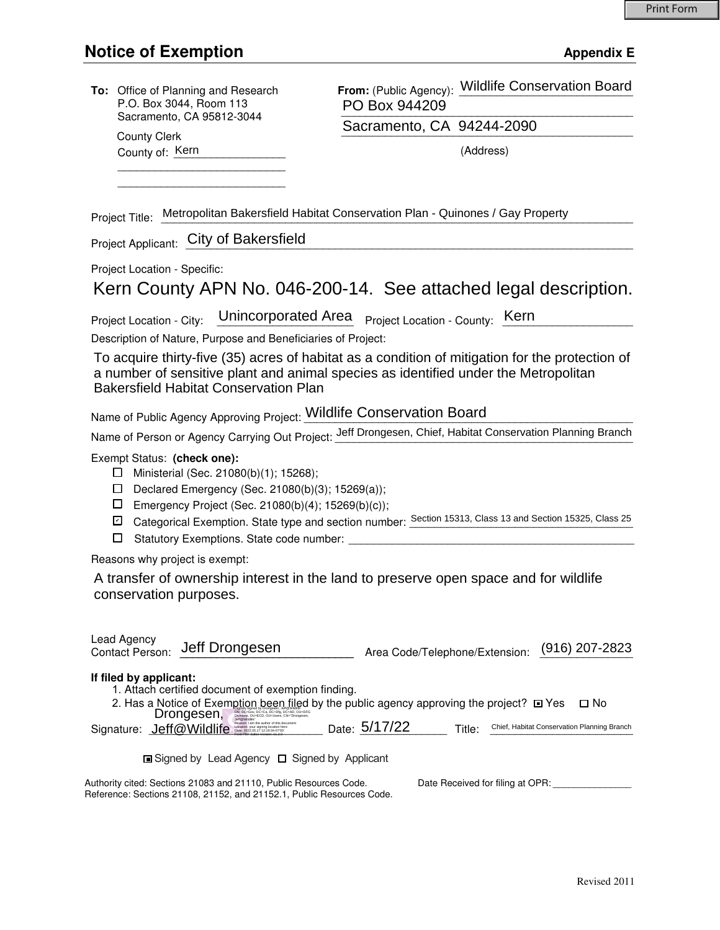|                                                                                                                                                                                                                                                                                                                                                                                     | To: Office of Planning and Research<br>P.O. Box 3044, Room 113<br>Sacramento, CA 95812-3044<br><b>County Clerk</b> | PO Box 944209                  | From: (Public Agency): Wildlife Conservation Board |
|-------------------------------------------------------------------------------------------------------------------------------------------------------------------------------------------------------------------------------------------------------------------------------------------------------------------------------------------------------------------------------------|--------------------------------------------------------------------------------------------------------------------|--------------------------------|----------------------------------------------------|
|                                                                                                                                                                                                                                                                                                                                                                                     |                                                                                                                    | Sacramento, CA 94244-2090      |                                                    |
|                                                                                                                                                                                                                                                                                                                                                                                     | County of: Kern                                                                                                    |                                | (Address)                                          |
|                                                                                                                                                                                                                                                                                                                                                                                     |                                                                                                                    |                                |                                                    |
|                                                                                                                                                                                                                                                                                                                                                                                     |                                                                                                                    |                                |                                                    |
| Project Title: Metropolitan Bakersfield Habitat Conservation Plan - Quinones / Gay Property                                                                                                                                                                                                                                                                                         |                                                                                                                    |                                |                                                    |
| Project Applicant: City of Bakersfield                                                                                                                                                                                                                                                                                                                                              |                                                                                                                    |                                |                                                    |
| Project Location - Specific:                                                                                                                                                                                                                                                                                                                                                        |                                                                                                                    |                                |                                                    |
| Kern County APN No. 046-200-14. See attached legal description.                                                                                                                                                                                                                                                                                                                     |                                                                                                                    |                                |                                                    |
| Unincorporated Area Project Location - County: Kern<br>Project Location - City:                                                                                                                                                                                                                                                                                                     |                                                                                                                    |                                |                                                    |
| Description of Nature, Purpose and Beneficiaries of Project:                                                                                                                                                                                                                                                                                                                        |                                                                                                                    |                                |                                                    |
| To acquire thirty-five (35) acres of habitat as a condition of mitigation for the protection of<br>a number of sensitive plant and animal species as identified under the Metropolitan<br><b>Bakersfield Habitat Conservation Plan</b>                                                                                                                                              |                                                                                                                    |                                |                                                    |
| Name of Public Agency Approving Project: Wildlife Conservation Board                                                                                                                                                                                                                                                                                                                |                                                                                                                    |                                |                                                    |
| Name of Person or Agency Carrying Out Project: Jeff Drongesen, Chief, Habitat Conservation Planning Branch                                                                                                                                                                                                                                                                          |                                                                                                                    |                                |                                                    |
| Exempt Status: (check one):<br>Ministerial (Sec. 21080(b)(1); 15268);<br>ப<br>Declared Emergency (Sec. 21080(b)(3); 15269(a));<br>$\Box$<br>ப<br>Emergency Project (Sec. 21080(b)(4); 15269(b)(c));<br>Categorical Exemption. State type and section number: Section 15313, Class 13 and Section 15325, Class 25<br>☑<br>Statutory Exemptions. State code number: _______<br>$\Box$ |                                                                                                                    |                                |                                                    |
| Reasons why project is exempt:                                                                                                                                                                                                                                                                                                                                                      |                                                                                                                    |                                |                                                    |
| A transfer of ownership interest in the land to preserve open space and for wildlife<br>conservation purposes.                                                                                                                                                                                                                                                                      |                                                                                                                    |                                |                                                    |
| Lead Agency<br>Contact Person:                                                                                                                                                                                                                                                                                                                                                      | Jeff Drongesen                                                                                                     | Area Code/Telephone/Extension: | $(916)$ 207-2823                                   |
| If filed by applicant:<br>1. Attach certified document of exemption finding.<br>2. Has a Notice of Exemption been filed by the public agency approving the project? ■ Yes<br>□ No<br>Drongesen,<br>Date: 5/17/22<br>Chief, Habitat Conservation Planning Branch<br>Signature: Jeff@Wildlife<br>Title:                                                                               |                                                                                                                    |                                |                                                    |
| <b>□</b> Signed by Lead Agency □ Signed by Applicant                                                                                                                                                                                                                                                                                                                                |                                                                                                                    |                                |                                                    |
| Authority cited: Sections 21083 and 21110, Public Resources Code.<br>Date Received for filing at OPR:<br>Reference: Sections 21108, 21152, and 21152.1, Public Resources Code.                                                                                                                                                                                                      |                                                                                                                    |                                |                                                    |
|                                                                                                                                                                                                                                                                                                                                                                                     |                                                                                                                    |                                |                                                    |
|                                                                                                                                                                                                                                                                                                                                                                                     |                                                                                                                    |                                |                                                    |